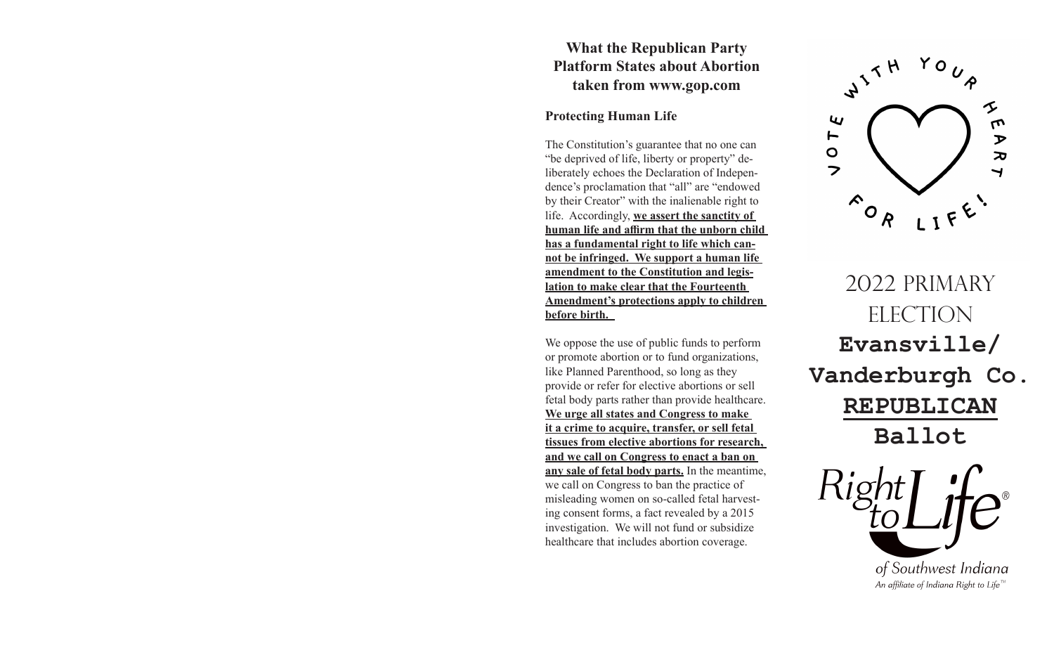## **What the Republican Party Platform States about Abortion taken from www.gop.com**

## **Protecting Human Life**

The Constitution's guarantee that no one can "be deprived of life, liberty or property" deliberately echoes the Declaration of Independence's proclamation that "all" are "endowed by their Creator" with the inalienable right to life. Accordingly, **we assert the sanctity of human life and affirm that the unborn child has a fundamental right to life which cannot be infringed. We support a human life amendment to the Constitution and legislation to make clear that the Fourteenth Amendment's protections apply to children before birth.** 

We oppose the use of public funds to perform or promote abortion or to fund organizations, like Planned Parenthood, so long as they provide or refer for elective abortions or sell fetal body parts rather than provide healthcare. **We urge all states and Congress to make it a crime to acquire, transfer, or sell fetal tissues from elective abortions for research, and we call on Congress to enact a ban on any sale of fetal body parts.** In the meantime, we call on Congress to ban the practice of misleading women on so-called fetal harvesting consent forms, a fact revealed by a 2015 investigation. We will not fund or subsidize healthcare that includes abortion coverage.



2022 PRIMARY ELECTION **Evansville/ Vanderburgh Co. REPUBLICAN Ballot**

> of Southwest Indiana An affiliate of Indiana Right to Life<sup> $m$ </sup>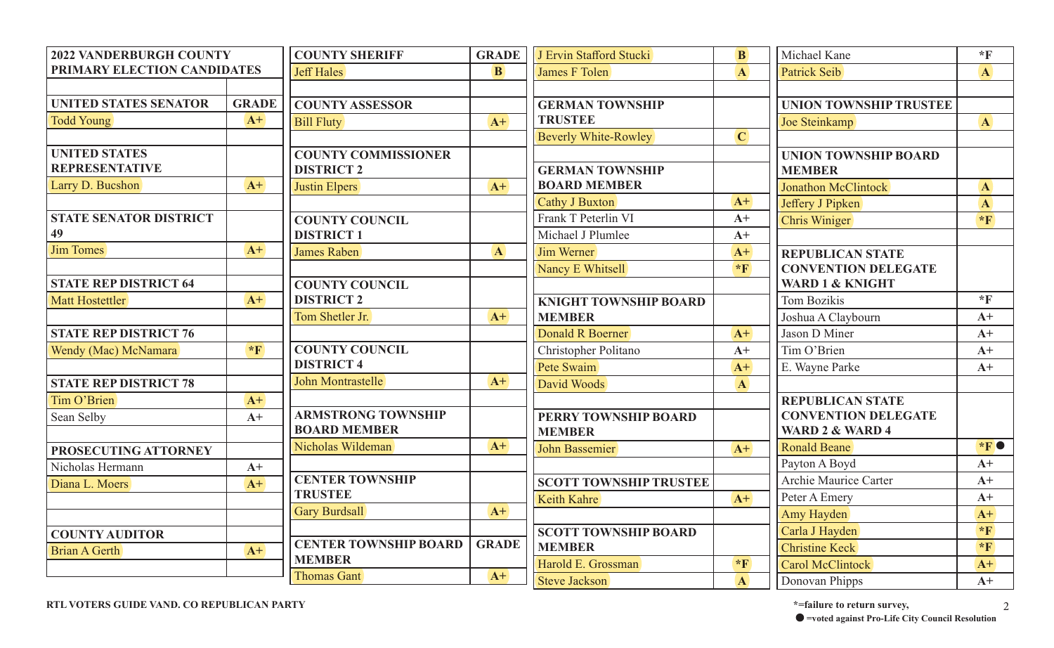| <b>2022 VANDERBURGH COUNTY</b> |                  | <b>COUNTY SHERIFF</b>        | <b>GRADE</b> | J Ervin Stafford Stucki       | <b>B</b>             | Michael Kane                  | $*$ F                   |
|--------------------------------|------------------|------------------------------|--------------|-------------------------------|----------------------|-------------------------------|-------------------------|
| PRIMARY ELECTION CANDIDATES    |                  | <b>Jeff Hales</b>            | <b>B</b>     | James F Tolen                 | $\mathbf{A}$         | Patrick Seib                  | $\mathbf{A}$            |
|                                |                  |                              |              |                               |                      |                               |                         |
| <b>UNITED STATES SENATOR</b>   | <b>GRADE</b>     | <b>COUNTY ASSESSOR</b>       |              | <b>GERMAN TOWNSHIP</b>        |                      | <b>UNION TOWNSHIP TRUSTEE</b> |                         |
| <b>Todd Young</b>              | $A+$             | <b>Bill Fluty</b>            | $A+$         | <b>TRUSTEE</b>                |                      | Joe Steinkamp                 | $\mathbf{A}$            |
|                                |                  |                              |              | <b>Beverly White-Rowley</b>   | $\mathbf C$          |                               |                         |
| <b>UNITED STATES</b>           |                  | <b>COUNTY COMMISSIONER</b>   |              |                               |                      | <b>UNION TOWNSHIP BOARD</b>   |                         |
| <b>REPRESENTATIVE</b>          |                  | <b>DISTRICT 2</b>            |              | <b>GERMAN TOWNSHIP</b>        |                      | <b>MEMBER</b>                 |                         |
| Larry D. Bucshon               | $A+$             | Justin Elpers                | $A+$         | <b>BOARD MEMBER</b>           |                      | Jonathon McClintock           | $\mathbf{A}$            |
|                                |                  |                              |              | Cathy J Buxton                | $A+$                 | Jeffery J Pipken              | $\mathbf{A}$            |
| <b>STATE SENATOR DISTRICT</b>  |                  | <b>COUNTY COUNCIL</b>        |              | Frank T Peterlin VI           | $A+$                 | <b>Chris Winiger</b>          | $*_{\mathbf{F}}$        |
| 49                             |                  | <b>DISTRICT 1</b>            |              | Michael J Plumlee             | $A+$                 |                               |                         |
| Jim Tomes                      | $A+$             | James Raben                  | $\mathbf{A}$ | Jim Werner                    | $A+$                 | <b>REPUBLICAN STATE</b>       |                         |
|                                |                  |                              |              | Nancy E Whitsell              | $*_{\mathbf{F}}$     | <b>CONVENTION DELEGATE</b>    |                         |
| <b>STATE REP DISTRICT 64</b>   |                  | <b>COUNTY COUNCIL</b>        |              |                               |                      | <b>WARD 1 &amp; KNIGHT</b>    |                         |
| Matt Hostettler                | $A+$             | <b>DISTRICT 2</b>            |              | <b>KNIGHT TOWNSHIP BOARD</b>  |                      | <b>Tom Bozikis</b>            | $*_{\mathbb{F}}$        |
|                                |                  | Tom Shetler Jr.              | $A+$         | <b>MEMBER</b>                 |                      | Joshua A Claybourn            | $A+$                    |
| <b>STATE REP DISTRICT 76</b>   |                  |                              |              | Donald R Boerner              | $A+$                 | Jason D Miner                 | $A+$                    |
| Wendy (Mac) McNamara           | $*_{\mathbf{F}}$ | <b>COUNTY COUNCIL</b>        |              | Christopher Politano          | $A+$                 | Tim O'Brien                   | $A+$                    |
|                                |                  | <b>DISTRICT 4</b>            |              | Pete Swaim                    | $A+$                 | E. Wayne Parke                | $A+$                    |
| <b>STATE REP DISTRICT 78</b>   |                  | John Montrastelle            | $A+$         | David Woods                   | $\mathbf{A}$         |                               |                         |
| Tim O'Brien                    | $A+$             |                              |              |                               |                      | <b>REPUBLICAN STATE</b>       |                         |
| Sean Selby                     | $A+$             | <b>ARMSTRONG TOWNSHIP</b>    |              | PERRY TOWNSHIP BOARD          |                      | <b>CONVENTION DELEGATE</b>    |                         |
|                                |                  | <b>BOARD MEMBER</b>          |              | <b>MEMBER</b>                 |                      | WARD 2 & WARD 4               |                         |
| PROSECUTING ATTORNEY           |                  | Nicholas Wildeman            | $A+$         | John Bassemier                | $A+$                 | Ronald Beane                  | $*_{\mathbf{F}}\bullet$ |
| Nicholas Hermann               | $A+$             |                              |              |                               |                      | Payton A Boyd                 | $A+$                    |
| Diana L. Moers                 | $A+$             | <b>CENTER TOWNSHIP</b>       |              | <b>SCOTT TOWNSHIP TRUSTEE</b> |                      | Archie Maurice Carter         | $A+$                    |
|                                |                  | <b>TRUSTEE</b>               |              | Keith Kahre                   | $A+$                 | Peter A Emery                 | $A+$                    |
|                                |                  | <b>Gary Burdsall</b>         | $A+$         |                               |                      | Amy Hayden                    | $A+$                    |
| <b>COUNTY AUDITOR</b>          |                  |                              |              | <b>SCOTT TOWNSHIP BOARD</b>   |                      | Carla J Hayden                | $*F$                    |
| Brian A Gerth                  | $A+$             | <b>CENTER TOWNSHIP BOARD</b> | <b>GRADE</b> | <b>MEMBER</b>                 |                      | <b>Christine Keck</b>         | $*_{\mathbf{F}}$        |
|                                |                  | <b>MEMBER</b>                |              | Harold E. Grossman            | $\star_{\mathbf{F}}$ | Carol McClintock              | $A+$                    |
|                                |                  | <b>Thomas Gant</b>           | $A+$         | <b>Steve Jackson</b>          | $\mathbf{A}$         | Donovan Phipps                | $A+$                    |

**RTL VOTERS GUIDE VAND. CO REPUBLICAN PARTY \*=failure to return survey,** 2